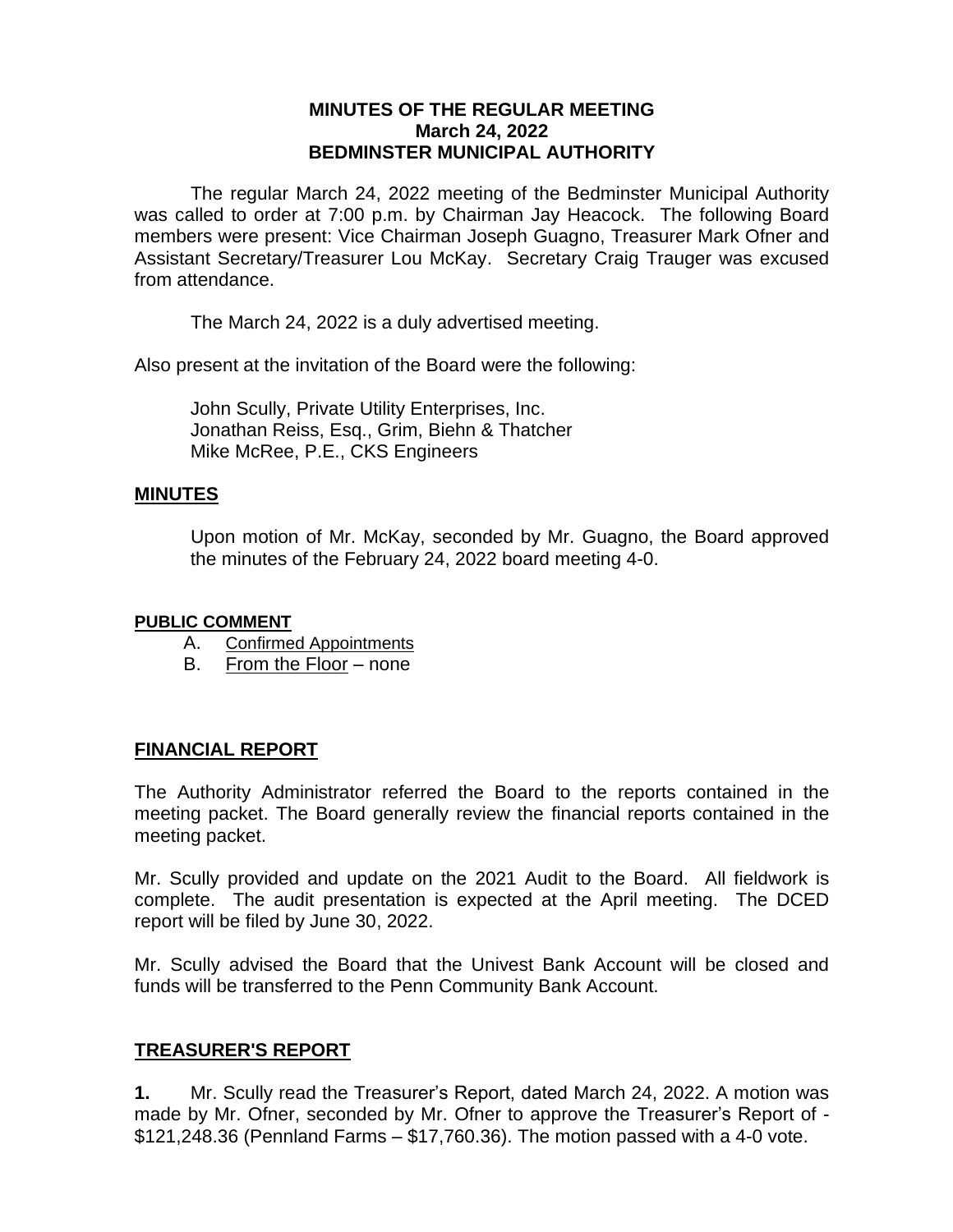# **MINUTES OF THE REGULAR MEETING March 24, 2022 BEDMINSTER MUNICIPAL AUTHORITY**

The regular March 24, 2022 meeting of the Bedminster Municipal Authority was called to order at 7:00 p.m. by Chairman Jay Heacock. The following Board members were present: Vice Chairman Joseph Guagno, Treasurer Mark Ofner and Assistant Secretary/Treasurer Lou McKay. Secretary Craig Trauger was excused from attendance.

The March 24, 2022 is a duly advertised meeting.

Also present at the invitation of the Board were the following:

John Scully, Private Utility Enterprises, Inc. Jonathan Reiss, Esq., Grim, Biehn & Thatcher Mike McRee, P.E., CKS Engineers

#### **MINUTES**

Upon motion of Mr. McKay, seconded by Mr. Guagno, the Board approved the minutes of the February 24, 2022 board meeting 4-0.

#### **PUBLIC COMMENT**

- A. Confirmed Appointments
- B. From the Floor none

# **FINANCIAL REPORT**

The Authority Administrator referred the Board to the reports contained in the meeting packet. The Board generally review the financial reports contained in the meeting packet.

Mr. Scully provided and update on the 2021 Audit to the Board. All fieldwork is complete. The audit presentation is expected at the April meeting. The DCED report will be filed by June 30, 2022.

Mr. Scully advised the Board that the Univest Bank Account will be closed and funds will be transferred to the Penn Community Bank Account.

# **TREASURER'S REPORT**

**1.** Mr. Scully read the Treasurer's Report, dated March 24, 2022. A motion was made by Mr. Ofner, seconded by Mr. Ofner to approve the Treasurer's Report of - \$121,248.36 (Pennland Farms – \$17,760.36). The motion passed with a 4-0 vote.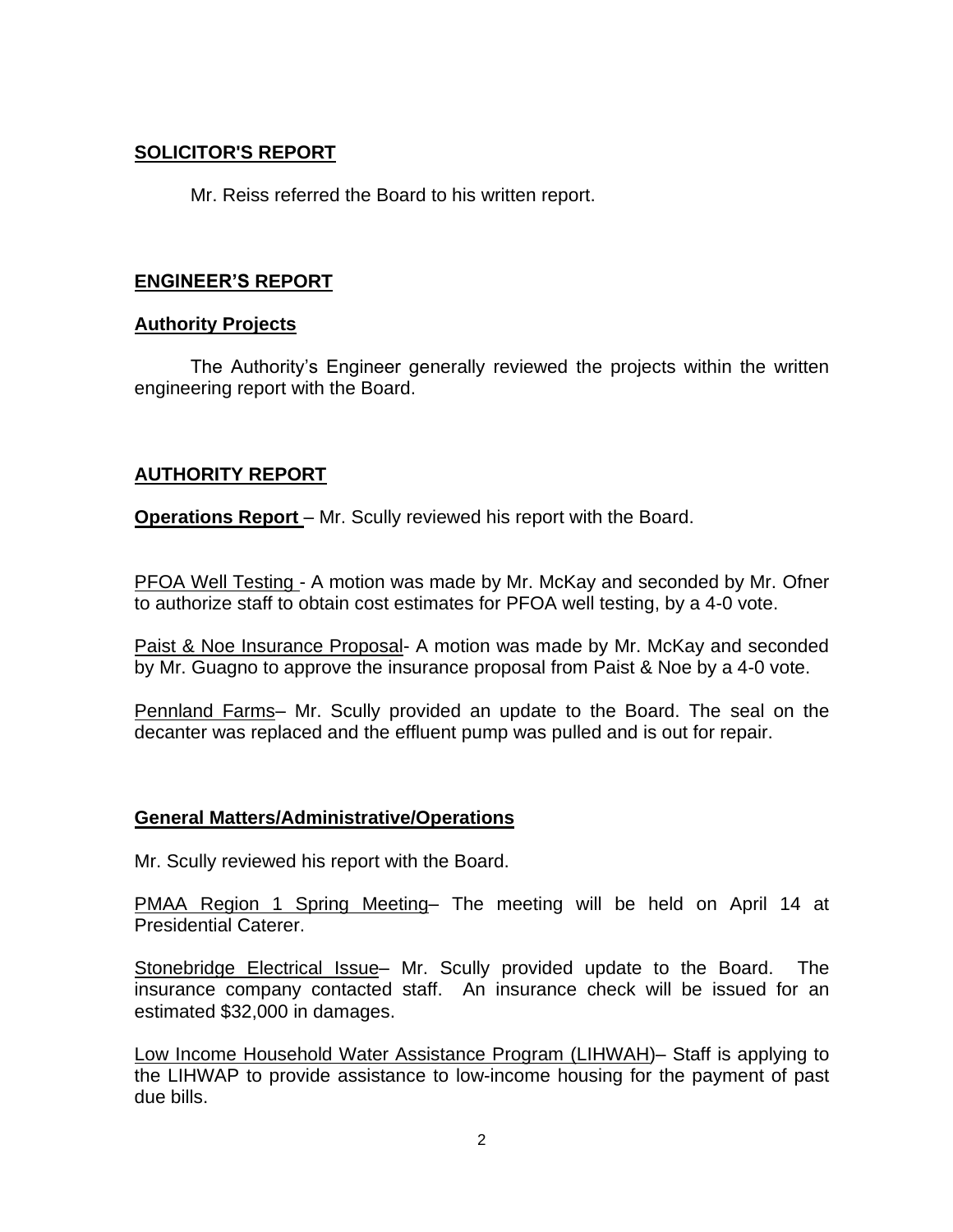# **SOLICITOR'S REPORT**

Mr. Reiss referred the Board to his written report.

# **ENGINEER'S REPORT**

# **Authority Projects**

The Authority's Engineer generally reviewed the projects within the written engineering report with the Board.

# **AUTHORITY REPORT**

**Operations Report** – Mr. Scully reviewed his report with the Board.

PFOA Well Testing - A motion was made by Mr. McKay and seconded by Mr. Ofner to authorize staff to obtain cost estimates for PFOA well testing, by a 4-0 vote.

Paist & Noe Insurance Proposal- A motion was made by Mr. McKay and seconded by Mr. Guagno to approve the insurance proposal from Paist & Noe by a 4-0 vote.

Pennland Farms– Mr. Scully provided an update to the Board. The seal on the decanter was replaced and the effluent pump was pulled and is out for repair.

# **General Matters/Administrative/Operations**

Mr. Scully reviewed his report with the Board.

PMAA Region 1 Spring Meeting– The meeting will be held on April 14 at Presidential Caterer.

Stonebridge Electrical Issue– Mr. Scully provided update to the Board. The insurance company contacted staff. An insurance check will be issued for an estimated \$32,000 in damages.

Low Income Household Water Assistance Program (LIHWAH)– Staff is applying to the LIHWAP to provide assistance to low-income housing for the payment of past due bills.